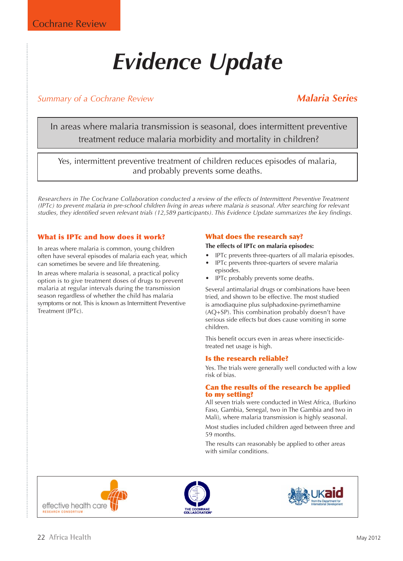# *Evidence Update*

## *Summary of a Cochrane Review Malaria Series*

In areas where malaria transmission is seasonal, does intermittent preventive treatment reduce malaria morbidity and mortality in children?

Yes, intermittent preventive treatment of children reduces episodes of malaria, and probably prevents some deaths.

*Researchers in The Cochrane Collaboration conducted a review of the effects of Intermittent Preventive Treatment (IPTc) to prevent malaria in pre-school children living in areas where malaria is seasonal. After searching for relevant studies, they identified seven relevant trials (12,589 participants). This Evidence Update summarizes the key findings.*

#### What is IPTc and how does it work?

In areas where malaria is common, young children often have several episodes of malaria each year, which can sometimes be severe and life threatening.

In areas where malaria is seasonal, a practical policy option is to give treatment doses of drugs to prevent malaria at regular intervals during the transmission season regardless of whether the child has malaria symptoms or not. This is known as Intermittent Preventive Treatment (IPTc).

### What does the research say?

#### **The effects of IPTc on malaria episodes:**

- IPTc prevents three-quarters of all malaria episodes.
- IPTc prevents three-quarters of severe malaria
- episodes. • IPTc probably prevents some deaths.

Several antimalarial drugs or combinations have been tried, and shown to be effective. The most studied is amodiaquine plus sulphadoxine-pyrimethamine (AQ+SP). This combination probably doesn't have serious side effects but does cause vomiting in some children.

This benefit occurs even in areas where insecticidetreated net usage is high.

#### Is the research reliable?

Yes. The trials were generally well conducted with a low risk of bias.

#### Can the results of the research be applied to my setting?

All seven trials were conducted in West Africa, (Burkino Faso, Gambia, Senegal, two in The Gambia and two in Mali), where malaria transmission is highly seasonal.

Most studies included children aged between three and 59 months.

The results can reasonably be applied to other areas with similar conditions.